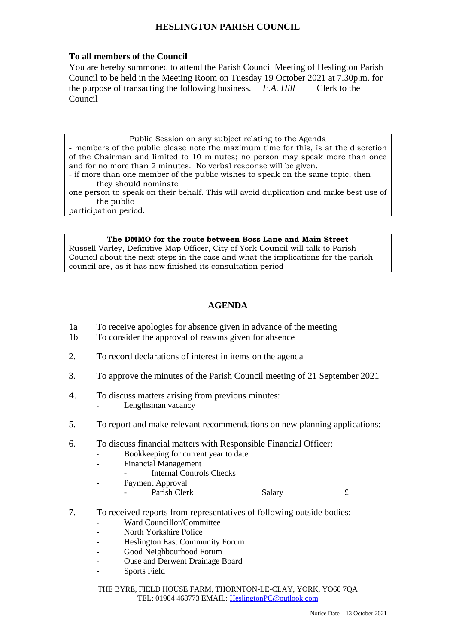# **HESLINGTON PARISH COUNCIL**

### **To all members of the Council**

You are hereby summoned to attend the Parish Council Meeting of Heslington Parish Council to be held in the Meeting Room on Tuesday 19 October 2021 at 7.30p.m. for the purpose of transacting the following business. *F.A. Hill* Clerk to the Council

#### Public Session on any subject relating to the Agenda

- members of the public please note the maximum time for this, is at the discretion of the Chairman and limited to 10 minutes; no person may speak more than once and for no more than 2 minutes. No verbal response will be given.

- if more than one member of the public wishes to speak on the same topic, then they should nominate

one person to speak on their behalf. This will avoid duplication and make best use of the public

participation period.

#### **The DMMO for the route between Boss Lane and Main Street**

Russell Varley, Definitive Map Officer, City of York Council will talk to Parish Council about the next steps in the case and what the implications for the parish council are, as it has now finished its consultation period

## **AGENDA**

- 1a To receive apologies for absence given in advance of the meeting
- 1b To consider the approval of reasons given for absence
- 2. To record declarations of interest in items on the agenda
- 3. To approve the minutes of the Parish Council meeting of 21 September 2021
- 4. To discuss matters arising from previous minutes: Lengthsman vacancy
- 5. To report and make relevant recommendations on new planning applications:
- 6. To discuss financial matters with Responsible Financial Officer:
	- Bookkeeping for current year to date
	- Financial Management
		- Internal Controls Checks
	- Payment Approval
		- Parish Clerk Salary 5.

- 7. To received reports from representatives of following outside bodies:
	- Ward Councillor/Committee
	- North Yorkshire Police
	- Heslington East Community Forum
	- Good Neighbourhood Forum
	- Ouse and Derwent Drainage Board
	- Sports Field

THE BYRE, FIELD HOUSE FARM, THORNTON-LE-CLAY, YORK, YO60 7QA TEL: 01904 468773 EMAIL: [HeslingtonPC@outlook.com](mailto:HeslingtonPC@outlook.com)